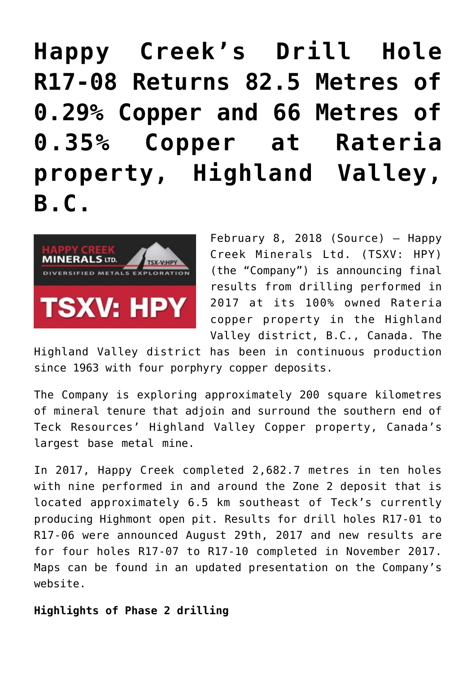## **[Happy Creek's Drill Hole](https://investorintel.com/markets/gold-silver-base-metals/gold-precious-metals-news/happy-creeks-drill-hole-r17-08-returns-82-5-metres-0-29-copper-66-metres-0-35-copper-rateria-property-highland-valley-b-c/) [R17-08 Returns 82.5 Metres of](https://investorintel.com/markets/gold-silver-base-metals/gold-precious-metals-news/happy-creeks-drill-hole-r17-08-returns-82-5-metres-0-29-copper-66-metres-0-35-copper-rateria-property-highland-valley-b-c/) [0.29% Copper and 66 Metres of](https://investorintel.com/markets/gold-silver-base-metals/gold-precious-metals-news/happy-creeks-drill-hole-r17-08-returns-82-5-metres-0-29-copper-66-metres-0-35-copper-rateria-property-highland-valley-b-c/) [0.35% Copper at Rateria](https://investorintel.com/markets/gold-silver-base-metals/gold-precious-metals-news/happy-creeks-drill-hole-r17-08-returns-82-5-metres-0-29-copper-66-metres-0-35-copper-rateria-property-highland-valley-b-c/) [property, Highland Valley,](https://investorintel.com/markets/gold-silver-base-metals/gold-precious-metals-news/happy-creeks-drill-hole-r17-08-returns-82-5-metres-0-29-copper-66-metres-0-35-copper-rateria-property-highland-valley-b-c/) [B.C.](https://investorintel.com/markets/gold-silver-base-metals/gold-precious-metals-news/happy-creeks-drill-hole-r17-08-returns-82-5-metres-0-29-copper-66-metres-0-35-copper-rateria-property-highland-valley-b-c/)**



February 8, 2018 ([Source](https://investorintel.com/iintel-members/happy-creek-minerals-ltd/)) — Happy Creek Minerals Ltd. (TSXV: HPY) (the "Company") is announcing final results from drilling performed in 2017 at its 100% owned Rateria copper property in the Highland Valley district, B.C., Canada. The

Highland Valley district has been in continuous production since 1963 with four porphyry copper deposits.

The Company is exploring approximately 200 square kilometres of mineral tenure that adjoin and surround the southern end of Teck Resources' Highland Valley Copper property, Canada's largest base metal mine.

In 2017, Happy Creek completed 2,682.7 metres in ten holes with nine performed in and around the Zone 2 deposit that is located approximately 6.5 km southeast of Teck's currently producing Highmont open pit. Results for drill holes R17-01 to R17-06 were announced August 29th, 2017 and new results are for four holes R17-07 to R17-10 completed in November 2017. Maps can be found in an updated presentation on the Company's website.

## **Highlights of Phase 2 drilling**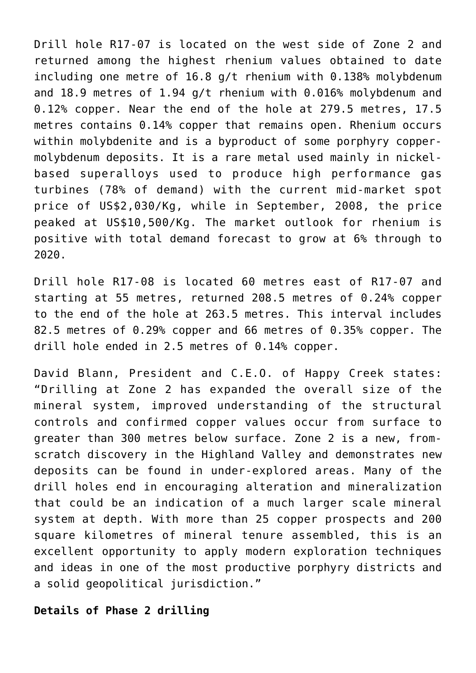Drill hole R17-07 is located on the west side of Zone 2 and returned among the highest rhenium values obtained to date including one metre of 16.8 g/t rhenium with 0.138% molybdenum and 18.9 metres of 1.94 g/t rhenium with 0.016% molybdenum and 0.12% copper. Near the end of the hole at 279.5 metres, 17.5 metres contains 0.14% copper that remains open. Rhenium occurs within molybdenite and is a byproduct of some porphyry coppermolybdenum deposits. It is a rare metal used mainly in nickelbased superalloys used to produce high performance gas turbines (78% of demand) with the current mid-market spot price of US\$2,030/Kg, while in September, 2008, the price peaked at US\$10,500/Kg. The market outlook for rhenium is positive with total demand forecast to grow at 6% through to 2020.

Drill hole R17-08 is located 60 metres east of R17-07 and starting at 55 metres, returned 208.5 metres of 0.24% copper to the end of the hole at 263.5 metres. This interval includes 82.5 metres of 0.29% copper and 66 metres of 0.35% copper. The drill hole ended in 2.5 metres of 0.14% copper.

David Blann, President and C.E.O. of Happy Creek states: "Drilling at Zone 2 has expanded the overall size of the mineral system, improved understanding of the structural controls and confirmed copper values occur from surface to greater than 300 metres below surface. Zone 2 is a new, fromscratch discovery in the Highland Valley and demonstrates new deposits can be found in under-explored areas. Many of the drill holes end in encouraging alteration and mineralization that could be an indication of a much larger scale mineral system at depth. With more than 25 copper prospects and 200 square kilometres of mineral tenure assembled, this is an excellent opportunity to apply modern exploration techniques and ideas in one of the most productive porphyry districts and a solid geopolitical jurisdiction."

## **Details of Phase 2 drilling**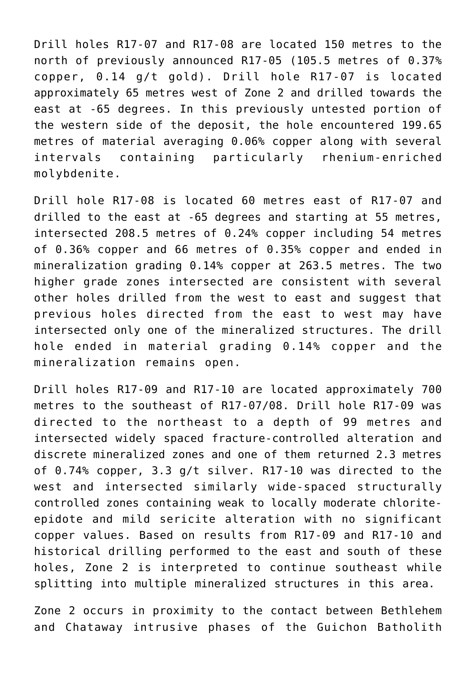Drill holes R17-07 and R17-08 are located 150 metres to the north of previously announced R17-05 (105.5 metres of 0.37% copper, 0.14 g/t gold). Drill hole R17-07 is located approximately 65 metres west of Zone 2 and drilled towards the east at -65 degrees. In this previously untested portion of the western side of the deposit, the hole encountered 199.65 metres of material averaging 0.06% copper along with several intervals containing particularly rhenium-enriched molybdenite.

Drill hole R17-08 is located 60 metres east of R17-07 and drilled to the east at -65 degrees and starting at 55 metres, intersected 208.5 metres of 0.24% copper including 54 metres of 0.36% copper and 66 metres of 0.35% copper and ended in mineralization grading 0.14% copper at 263.5 metres. The two higher grade zones intersected are consistent with several other holes drilled from the west to east and suggest that previous holes directed from the east to west may have intersected only one of the mineralized structures. The drill hole ended in material grading 0.14% copper and the mineralization remains open.

Drill holes R17-09 and R17-10 are located approximately 700 metres to the southeast of R17-07/08. Drill hole R17-09 was directed to the northeast to a depth of 99 metres and intersected widely spaced fracture-controlled alteration and discrete mineralized zones and one of them returned 2.3 metres of 0.74% copper, 3.3 g/t silver. R17-10 was directed to the west and intersected similarly wide-spaced structurally controlled zones containing weak to locally moderate chloriteepidote and mild sericite alteration with no significant copper values. Based on results from R17-09 and R17-10 and historical drilling performed to the east and south of these holes, Zone 2 is interpreted to continue southeast while splitting into multiple mineralized structures in this area.

Zone 2 occurs in proximity to the contact between Bethlehem and Chataway intrusive phases of the Guichon Batholith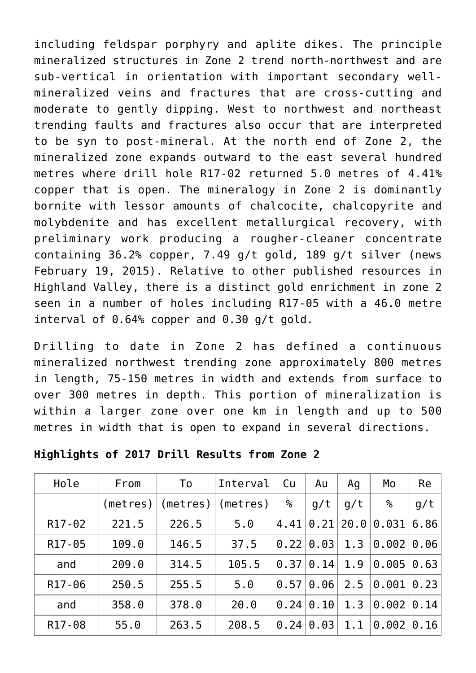including feldspar porphyry and aplite dikes. The principle mineralized structures in Zone 2 trend north-northwest and are sub-vertical in orientation with important secondary wellmineralized veins and fractures that are cross-cutting and moderate to gently dipping. West to northwest and northeast trending faults and fractures also occur that are interpreted to be syn to post-mineral. At the north end of Zone 2, the mineralized zone expands outward to the east several hundred metres where drill hole R17-02 returned 5.0 metres of 4.41% copper that is open. The mineralogy in Zone 2 is dominantly bornite with lessor amounts of chalcocite, chalcopyrite and molybdenite and has excellent metallurgical recovery, with preliminary work producing a rougher-cleaner concentrate containing 36.2% copper, 7.49 g/t gold, 189 g/t silver (news February 19, 2015). Relative to other published resources in Highland Valley, there is a distinct gold enrichment in zone 2 seen in a number of holes including R17-05 with a 46.0 metre interval of 0.64% copper and 0.30 g/t gold.

Drilling to date in Zone 2 has defined a continuous mineralized northwest trending zone approximately 800 metres in length, 75-150 metres in width and extends from surface to over 300 metres in depth. This portion of mineralization is within a larger zone over one km in length and up to 500 metres in width that is open to expand in several directions.

| Hole                | From  | To                  | Interval | Cu   | Au              | Aq   | Mo    | Re   |
|---------------------|-------|---------------------|----------|------|-----------------|------|-------|------|
|                     |       | (meters)   (metres) | (metres) | ℅    | g/t             | g/t  | ℅     | g/t  |
| R <sub>17</sub> -02 | 221.5 | 226.5               | 5.0      | 4.41 | 0.21            | 20.0 | 0.031 | 6.86 |
| R <sub>17</sub> -05 | 109.0 | 146.5               | 37.5     |      | $0.22$   $0.03$ | 1.3  | 0.002 | 0.06 |
| and                 | 209.0 | 314.5               | 105.5    |      | 0.37 0.14       | 1.9  | 0.005 | 0.63 |
| R <sub>17</sub> -06 | 250.5 | 255.5               | 5.0      | 0.57 | 0.06            | 2.5  | 0.001 | 0.23 |
| and                 | 358.0 | 378.0               | 20.0     | 0.24 | 0.10            | 1.3  | 0.002 | 0.14 |
| R <sub>17</sub> -08 | 55.0  | 263.5               | 208.5    | 0.24 | 0.03            | 1.1  | 0.002 | 0.16 |

**Highlights of 2017 Drill Results from Zone 2**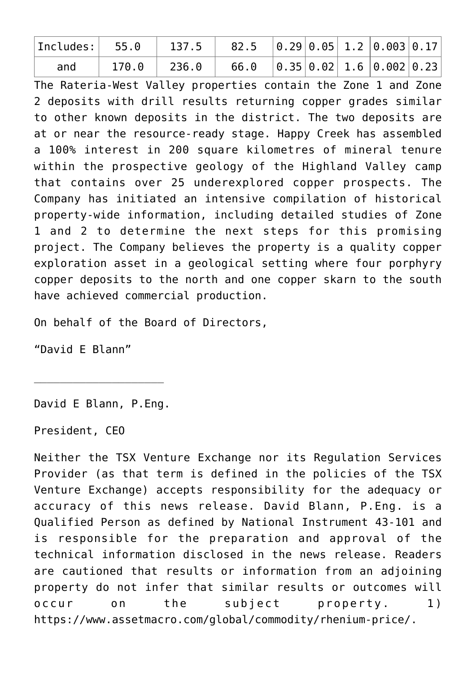| and | 170.0 236.0 | $66.0 \quad  0.35 0.02 1.6 0.002 0.23 $ |  |  |  |
|-----|-------------|-----------------------------------------|--|--|--|

The Rateria-West Valley properties contain the Zone 1 and Zone 2 deposits with drill results returning copper grades similar to other known deposits in the district. The two deposits are at or near the resource-ready stage. Happy Creek has assembled a 100% interest in 200 square kilometres of mineral tenure within the prospective geology of the Highland Valley camp that contains over 25 underexplored copper prospects. The Company has initiated an intensive compilation of historical property-wide information, including detailed studies of Zone 1 and 2 to determine the next steps for this promising project. The Company believes the property is a quality copper exploration asset in a geological setting where four porphyry copper deposits to the north and one copper skarn to the south have achieved commercial production.

On behalf of the Board of Directors,

"David E Blann"

David E Blann, P.Eng.

\_\_\_\_\_\_\_\_\_\_\_\_\_\_\_\_\_\_\_\_

President, CEO

Neither the TSX Venture Exchange nor its Regulation Services Provider (as that term is defined in the policies of the TSX Venture Exchange) accepts responsibility for the adequacy or accuracy of this news release. David Blann, P.Eng. is a Qualified Person as defined by National Instrument 43-101 and is responsible for the preparation and approval of the technical information disclosed in the news release. Readers are cautioned that results or information from an adjoining property do not infer that similar results or outcomes will occur on the subject property. 1) https://www.assetmacro.com/global/commodity/rhenium-price/.